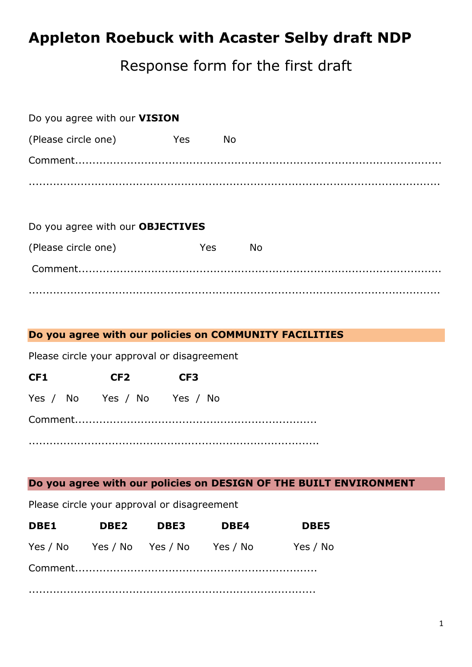# **Appleton Roebuck with Acaster Selby draft NDP**

# Response form for the first draft

| Do you agree with our VISION     |           |  |  |
|----------------------------------|-----------|--|--|
| Yes                              | <b>No</b> |  |  |
|                                  |           |  |  |
|                                  |           |  |  |
| Do you agree with our OBJECTIVES |           |  |  |
| <b>Yes</b>                       | <b>No</b> |  |  |
|                                  |           |  |  |
|                                  |           |  |  |

.......................................................................................................................

## **Do you agree with our policies on COMMUNITY FACILITIES**

Please circle your approval or disagreement

| CF <sub>1</sub> |  | CF <sub>2</sub>            | CF <sub>3</sub> |  |
|-----------------|--|----------------------------|-----------------|--|
|                 |  | Yes / No Yes / No Yes / No |                 |  |
|                 |  |                            |                 |  |
|                 |  |                            |                 |  |

## **Do you agree with our policies on DESIGN OF THE BUILT ENVIRONMENT**

Please circle your approval or disagreement

| <b>DBE1</b> | DBE2 | <b>DBE3</b>                         | DBE4 | <b>DBE5</b> |
|-------------|------|-------------------------------------|------|-------------|
|             |      | Yes / No Yes / No Yes / No Yes / No |      | Yes / No    |
|             |      |                                     |      |             |
|             |      |                                     |      |             |